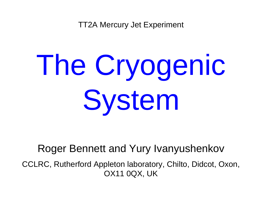TT2A Mercury Jet Experiment

# The Cryogenic System

#### Roger Bennett and Yury Ivanyushenkov

CCLRC, Rutherford Appleton laboratory, Chilto, Didcot, Oxon, OX11 0QX, UK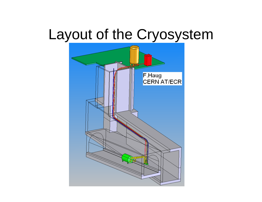## Layout of the Cryosystem

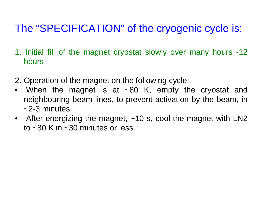### The "SPECIFICATION" of the cryogenic cycle is:

- 1. Initial fill of the magnet cryostat slowly over many hours -12 hours
- 2. Operation of the magnet on the following cycle:
- When the magnet is at ~80 K, empty the cryostat and neighbouring beam lines, to prevent activation by the beam, in ~2-3 minutes.
- After energizing the magnet, ~10 s, cool the magnet with LN2 to ~80 K in ~30 minutes or less.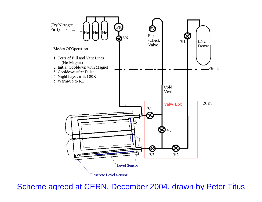

Scheme agreed at CERN, December 2004, drawn by Peter Titus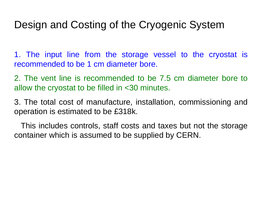#### Design and Costing of the Cryogenic System

1. The input line from the storage vessel to the cryostat is recommended to be 1 cm diameter bore.

2. The vent line is recommended to be 7.5 cm diameter bore to allow the cryostat to be filled in <30 minutes.

3. The total cost of manufacture, installation, commissioning and operation is estimated to be £318k.

This includes controls, staff costs and taxes but not the storage container which is assumed to be supplied by CERN.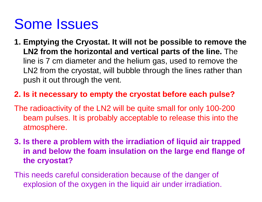## Some Issues

**1. Emptying the Cryostat. It will not be possible to remove the LN2 from the horizontal and vertical parts of the line.** The line is 7 cm diameter and the helium gas, used to remove the LN2 from the cryostat, will bubble through the lines rather than push it out through the vent.

#### **2. Is it necessary to empty the cryostat before each pulse?**

- The radioactivity of the LN2 will be quite small for only 100-200 beam pulses. It is probably acceptable to release this into the atmosphere.
- **3. Is there a problem with the irradiation of liquid air trapped in and below the foam insulation on the large end flange of the cryostat?**

This needs careful consideration because of the danger of explosion of the oxygen in the liquid air under irradiation.